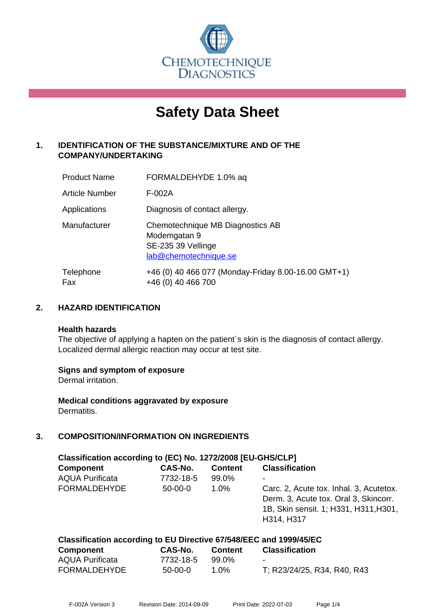

# **Safety Data Sheet**

# **1. IDENTIFICATION OF THE SUBSTANCE/MIXTURE AND OF THE COMPANY/UNDERTAKING**

| <b>Product Name</b>   | FORMALDEHYDE 1.0% aq                                                                            |
|-----------------------|-------------------------------------------------------------------------------------------------|
| <b>Article Number</b> | F-002A                                                                                          |
| Applications          | Diagnosis of contact allergy.                                                                   |
| Manufacturer          | Chemotechnique MB Diagnostics AB<br>Modemgatan 9<br>SE-235 39 Vellinge<br>lab@chemotechnique.se |
| Telephone<br>Fax      | +46 (0) 40 466 077 (Monday-Friday 8.00-16.00 GMT+1)<br>+46 (0) 40 466 700                       |

# **2. HAZARD IDENTIFICATION**

#### **Health hazards**

The objective of applying a hapten on the patient's skin is the diagnosis of contact allergy. Localized dermal allergic reaction may occur at test site.

## **Signs and symptom of exposure**

Dermal irritation.

**Medical conditions aggravated by exposure** Dermatitis.

# **3. COMPOSITION/INFORMATION ON INGREDIENTS**

| Classification according to (EC) No. 1272/2008 [EU-GHS/CLP]         |           |                |                                                                                                                                         |  |  |  |
|---------------------------------------------------------------------|-----------|----------------|-----------------------------------------------------------------------------------------------------------------------------------------|--|--|--|
| <b>Component</b>                                                    | CAS-No.   | <b>Content</b> | <b>Classification</b>                                                                                                                   |  |  |  |
| <b>AQUA Purificata</b>                                              | 7732-18-5 | 99.0%          |                                                                                                                                         |  |  |  |
| <b>FORMALDEHYDE</b>                                                 | $50-00-0$ | $1.0\%$        | Carc. 2, Acute tox. Inhal. 3, Acutetox.<br>Derm. 3, Acute tox. Oral 3, Skincorr.<br>1B, Skin sensit. 1; H331, H311, H301,<br>H314, H317 |  |  |  |
| Classification according to ELI Directive 67/548/FFC and 1999/45/FC |           |                |                                                                                                                                         |  |  |  |

| <b>Component</b>       | CAS-No.   | <b>Content</b> | <b>Classification</b>       |
|------------------------|-----------|----------------|-----------------------------|
| <b>AQUA Purificata</b> | 7732-18-5 | 99.0%          | $\blacksquare$              |
| <b>FORMALDEHYDE</b>    | 50-00-0   | 1.0%           | T; R23/24/25, R34, R40, R43 |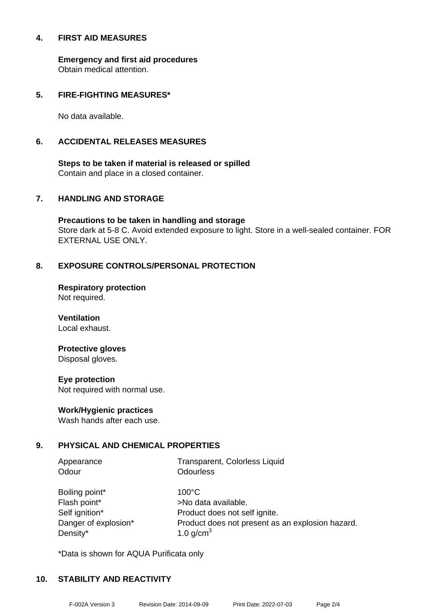### **4. FIRST AID MEASURES**

**Emergency and first aid procedures** Obtain medical attention.

## **5. FIRE-FIGHTING MEASURES\***

No data available.

## **6. ACCIDENTAL RELEASES MEASURES**

**Steps to be taken if material is released or spilled** Contain and place in a closed container.

# **7. HANDLING AND STORAGE**

**Precautions to be taken in handling and storage** Store dark at 5-8 C. Avoid extended exposure to light. Store in a well-sealed container. FOR EXTERNAL USE ONLY.

# **8. EXPOSURE CONTROLS/PERSONAL PROTECTION**

**Respiratory protection** Not required.

**Ventilation** Local exhaust.

# **Protective gloves**

Disposal gloves.

#### **Eye protection**

Not required with normal use.

## **Work/Hygienic practices**

Wash hands after each use.

## **9. PHYSICAL AND CHEMICAL PROPERTIES**

| Appearance           | Transparent, Colorless Liquid                    |
|----------------------|--------------------------------------------------|
| Odour                | <b>Odourless</b>                                 |
|                      |                                                  |
| Boiling point*       | $100^{\circ}$ C                                  |
| Flash point*         | >No data available.                              |
| Self ignition*       | Product does not self ignite.                    |
| Danger of explosion* | Product does not present as an explosion hazard. |

\*Data is shown for AQUA Purificata only

Density\*  $1.0 \text{ q/cm}^3$ 

## **10. STABILITY AND REACTIVITY**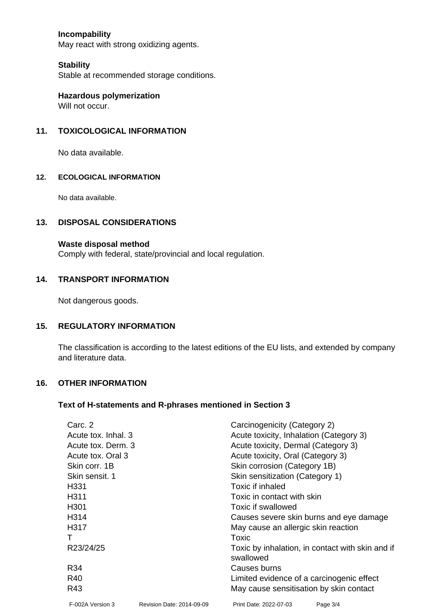# **Incompability**

May react with strong oxidizing agents.

### **Stability**

Stable at recommended storage conditions.

**Hazardous polymerization** Will not occur.

## **11. TOXICOLOGICAL INFORMATION**

No data available.

#### **12. ECOLOGICAL INFORMATION**

No data available.

### **13. DISPOSAL CONSIDERATIONS**

#### **Waste disposal method**

Comply with federal, state/provincial and local regulation.

### **14. TRANSPORT INFORMATION**

Not dangerous goods.

## **15. REGULATORY INFORMATION**

The classification is according to the latest editions of the EU lists, and extended by company and literature data.

#### **16. OTHER INFORMATION**

#### **Text of H-statements and R-phrases mentioned in Section 3**

| Carc. 2             |                           | Carcinogenicity (Category 2)                                  |                                         |  |  |
|---------------------|---------------------------|---------------------------------------------------------------|-----------------------------------------|--|--|
| Acute tox. Inhal. 3 |                           |                                                               | Acute toxicity, Inhalation (Category 3) |  |  |
| Acute tox. Derm. 3  |                           | Acute toxicity, Dermal (Category 3)                           |                                         |  |  |
| Acute tox. Oral 3   |                           | Acute toxicity, Oral (Category 3)                             |                                         |  |  |
| Skin corr, 1B       |                           | Skin corrosion (Category 1B)                                  |                                         |  |  |
| Skin sensit. 1      |                           | Skin sensitization (Category 1)                               |                                         |  |  |
| H <sub>331</sub>    |                           | Toxic if inhaled                                              |                                         |  |  |
| H <sub>3</sub> 11   |                           | Toxic in contact with skin                                    |                                         |  |  |
| H <sub>301</sub>    |                           | Toxic if swallowed                                            |                                         |  |  |
| H <sub>3</sub> 14   |                           |                                                               | Causes severe skin burns and eye damage |  |  |
| H317                |                           | May cause an allergic skin reaction                           |                                         |  |  |
|                     |                           | Toxic                                                         |                                         |  |  |
| R23/24/25           |                           | Toxic by inhalation, in contact with skin and if<br>swallowed |                                         |  |  |
| R34                 |                           | Causes burns                                                  |                                         |  |  |
| R40                 |                           | Limited evidence of a carcinogenic effect                     |                                         |  |  |
| R43                 |                           | May cause sensitisation by skin contact                       |                                         |  |  |
| F-002A Version 3    | Revision Date: 2014-09-09 | Print Date: 2022-07-03                                        | Page 3/4                                |  |  |